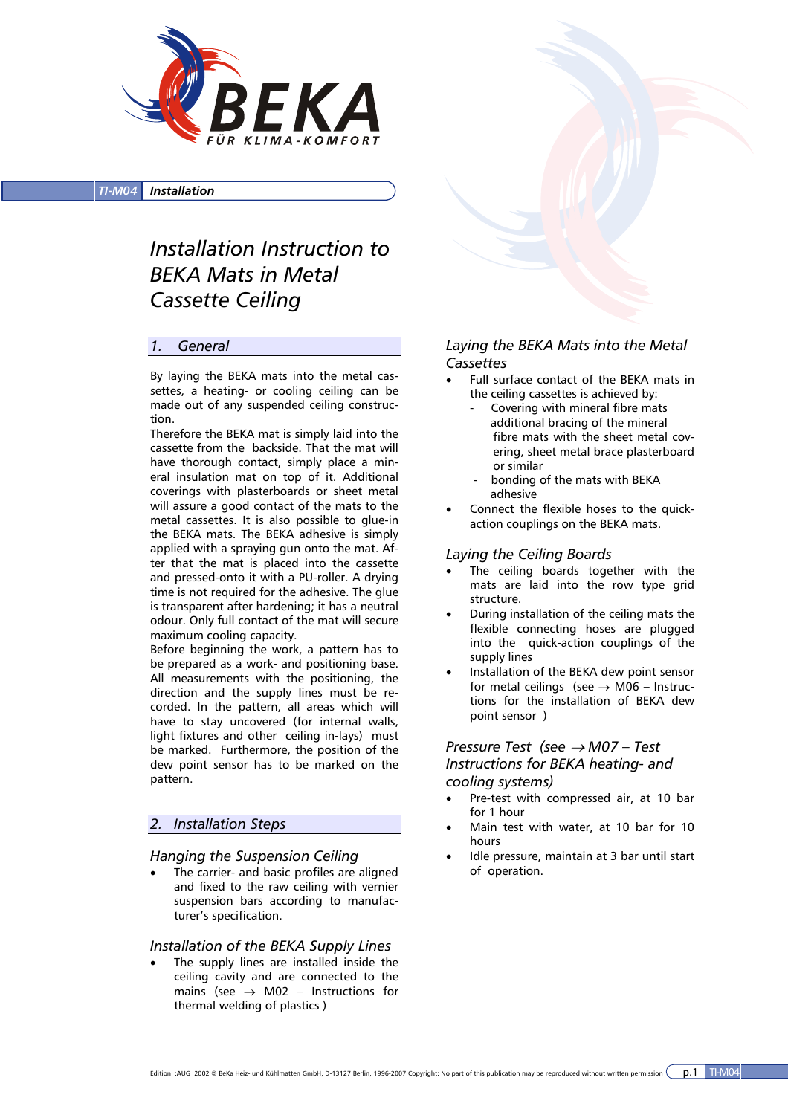

*TI-M04 Installation*

# *Installation Instruction to BEKA Mats in Metal Cassette Ceiling*

#### *1. General*

By laying the BEKA mats into the metal cassettes, a heating- or cooling ceiling can be made out of any suspended ceiling construction.

Therefore the BEKA mat is simply laid into the cassette from the backside. That the mat will have thorough contact, simply place a mineral insulation mat on top of it. Additional coverings with plasterboards or sheet metal will assure a good contact of the mats to the metal cassettes. It is also possible to glue-in the BEKA mats. The BEKA adhesive is simply applied with a spraying gun onto the mat. After that the mat is placed into the cassette and pressed-onto it with a PU-roller. A drying time is not required for the adhesive. The glue is transparent after hardening; it has a neutral odour. Only full contact of the mat will secure maximum cooling capacity.

Before beginning the work, a pattern has to be prepared as a work- and positioning base. All measurements with the positioning, the direction and the supply lines must be recorded. In the pattern, all areas which will have to stay uncovered (for internal walls, light fixtures and other ceiling in-lays) must be marked. Furthermore, the position of the dew point sensor has to be marked on the pattern.

### *2. Installation Steps*

#### *Hanging the Suspension Ceiling*

The carrier- and basic profiles are aligned and fixed to the raw ceiling with vernier suspension bars according to manufacturer's specification.

#### *Installation of the BEKA Supply Lines*

The supply lines are installed inside the ceiling cavity and are connected to the mains (see  $\rightarrow$  M02 – Instructions for thermal welding of plastics )

## *Laying the BEKA Mats into the Metal Cassettes*

- Full surface contact of the BEKA mats in the ceiling cassettes is achieved by:
	- Covering with mineral fibre mats additional bracing of the mineral fibre mats with the sheet metal covering, sheet metal brace plasterboard or similar
	- bonding of the mats with BEKA adhesive
- Connect the flexible hoses to the quickaction couplings on the BEKA mats.

#### *Laying the Ceiling Boards*

- The ceiling boards together with the mats are laid into the row type grid structure.
- During installation of the ceiling mats the flexible connecting hoses are plugged into the quick-action couplings of the supply lines
- Installation of the BEKA dew point sensor for metal ceilings (see  $\rightarrow$  M06 – Instructions for the installation of BEKA dew point sensor )

### *Pressure Test (see* → *M07 – Test Instructions for BEKA heating- and cooling systems)*

- Pre-test with compressed air, at 10 bar for 1 hour
- Main test with water, at 10 bar for 10 hours
- Idle pressure, maintain at 3 bar until start of operation.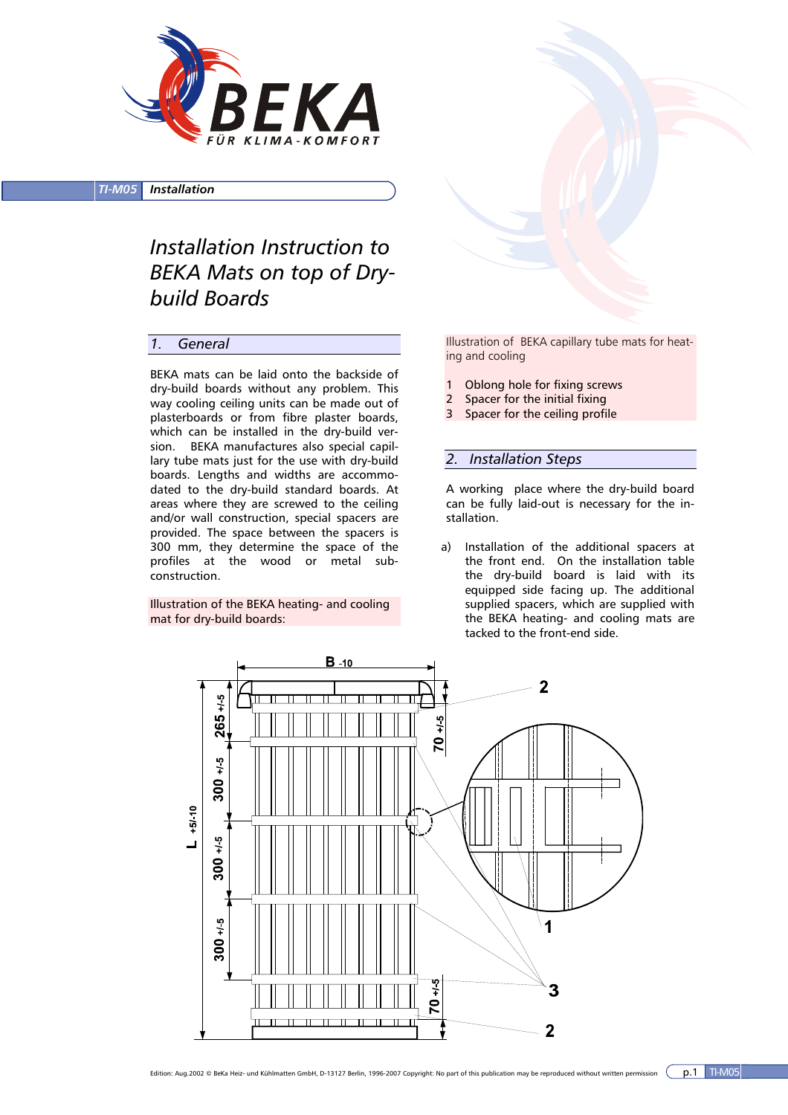

*TI-M05 Installation*

*Installation Instruction to BEKA Mats on top of Drybuild Boards* 

#### *1. General*

BEKA mats can be laid onto the backside of dry-build boards without any problem. This way cooling ceiling units can be made out of plasterboards or from fibre plaster boards, which can be installed in the dry-build version. BEKA manufactures also special capillary tube mats just for the use with dry-build boards. Lengths and widths are accommodated to the dry-build standard boards. At areas where they are screwed to the ceiling and/or wall construction, special spacers are provided. The space between the spacers is 300 mm, they determine the space of the profiles at the wood or metal subconstruction.

Illustration of the BEKA heating- and cooling mat for dry-build boards:

Illustration of BEKA capillary tube mats for heating and cooling

- 1 Oblong hole for fixing screws
- 2 Spacer for the initial fixing
- 3 Spacer for the ceiling profile

#### *2. Installation Steps*

A working place where the dry-build board can be fully laid-out is necessary for the installation.

a) Installation of the additional spacers at the front end. On the installation table the dry-build board is laid with its equipped side facing up. The additional supplied spacers, which are supplied with the BEKA heating- and cooling mats are tacked to the front-end side.